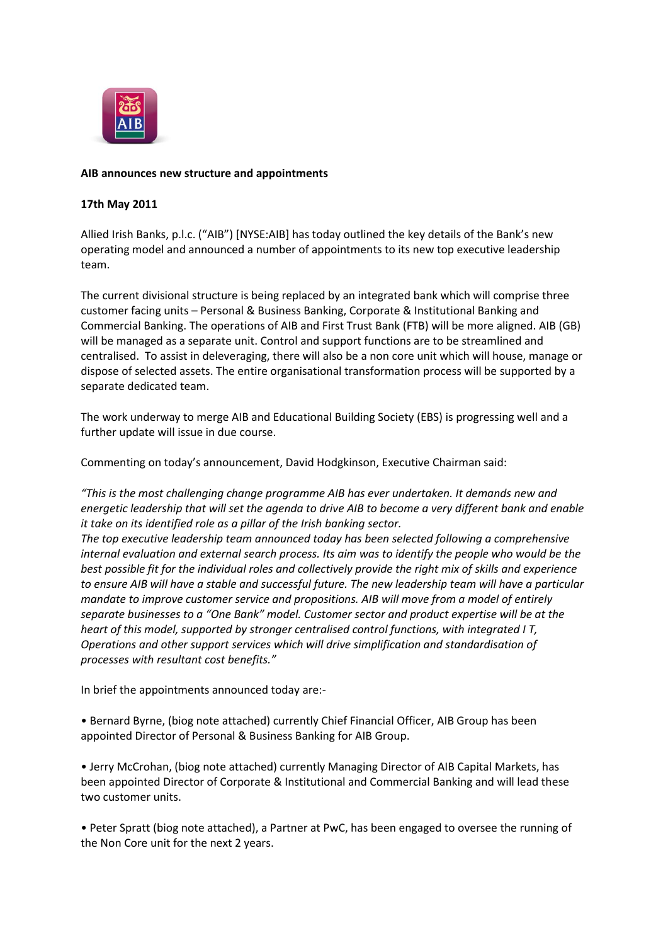

# **AIB announces new structure and appointments**

# **17th May 2011**

Allied Irish Banks, p.l.c. ("AIB") [NYSE:AIB] has today outlined the key details of the Bank's new operating model and announced a number of appointments to its new top executive leadership team.

The current divisional structure is being replaced by an integrated bank which will comprise three customer facing units – Personal & Business Banking, Corporate & Institutional Banking and Commercial Banking. The operations of AIB and First Trust Bank (FTB) will be more aligned. AIB (GB) will be managed as a separate unit. Control and support functions are to be streamlined and centralised. To assist in deleveraging, there will also be a non core unit which will house, manage or dispose of selected assets. The entire organisational transformation process will be supported by a separate dedicated team.

The work underway to merge AIB and Educational Building Society (EBS) is progressing well and a further update will issue in due course.

Commenting on today's announcement, David Hodgkinson, Executive Chairman said:

*"This is the most challenging change programme AIB has ever undertaken. It demands new and energetic leadership that will set the agenda to drive AIB to become a very different bank and enable it take on its identified role as a pillar of the Irish banking sector.*

*The top executive leadership team announced today has been selected following a comprehensive internal evaluation and external search process. Its aim was to identify the people who would be the best possible fit for the individual roles and collectively provide the right mix of skills and experience to ensure AIB will have a stable and successful future. The new leadership team will have a particular mandate to improve customer service and propositions. AIB will move from a model of entirely separate businesses to a "One Bank" model. Customer sector and product expertise will be at the heart of this model, supported by stronger centralised control functions, with integrated I T, Operations and other support services which will drive simplification and standardisation of processes with resultant cost benefits."*

In brief the appointments announced today are:-

• Bernard Byrne, (biog note attached) currently Chief Financial Officer, AIB Group has been appointed Director of Personal & Business Banking for AIB Group.

• Jerry McCrohan, (biog note attached) currently Managing Director of AIB Capital Markets, has been appointed Director of Corporate & Institutional and Commercial Banking and will lead these two customer units.

• Peter Spratt (biog note attached), a Partner at PwC, has been engaged to oversee the running of the Non Core unit for the next 2 years.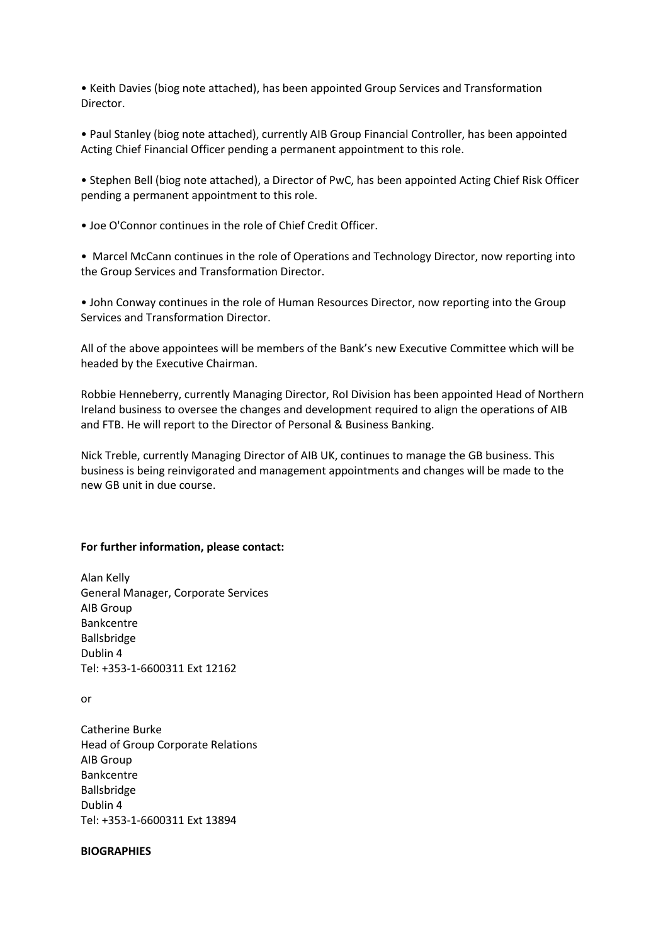• Keith Davies (biog note attached), has been appointed Group Services and Transformation Director.

• Paul Stanley (biog note attached), currently AIB Group Financial Controller, has been appointed Acting Chief Financial Officer pending a permanent appointment to this role.

• Stephen Bell (biog note attached), a Director of PwC, has been appointed Acting Chief Risk Officer pending a permanent appointment to this role.

• Joe O'Connor continues in the role of Chief Credit Officer.

• Marcel McCann continues in the role of Operations and Technology Director, now reporting into the Group Services and Transformation Director.

• John Conway continues in the role of Human Resources Director, now reporting into the Group Services and Transformation Director.

All of the above appointees will be members of the Bank's new Executive Committee which will be headed by the Executive Chairman.

Robbie Henneberry, currently Managing Director, RoI Division has been appointed Head of Northern Ireland business to oversee the changes and development required to align the operations of AIB and FTB. He will report to the Director of Personal & Business Banking.

Nick Treble, currently Managing Director of AIB UK, continues to manage the GB business. This business is being reinvigorated and management appointments and changes will be made to the new GB unit in due course.

### **For further information, please contact:**

Alan Kelly General Manager, Corporate Services AIB Group Bankcentre Ballsbridge Dublin 4 Tel: +353-1-6600311 Ext 12162

or

Catherine Burke Head of Group Corporate Relations AIB Group Bankcentre Ballsbridge Dublin 4 Tel: +353-1-6600311 Ext 13894

### **BIOGRAPHIES**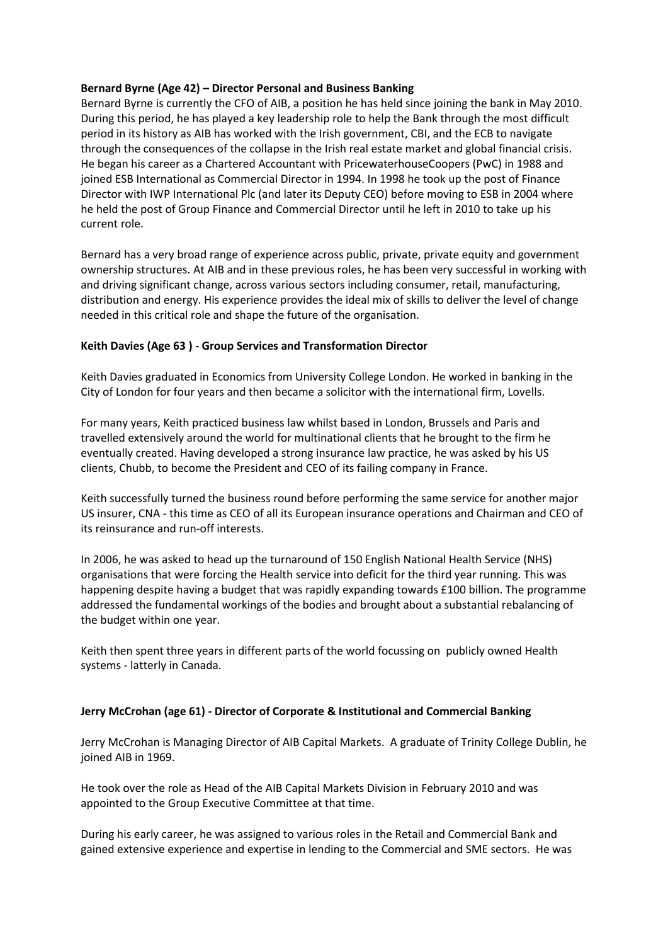# **Bernard Byrne (Age 42) – Director Personal and Business Banking**

Bernard Byrne is currently the CFO of AIB, a position he has held since joining the bank in May 2010. During this period, he has played a key leadership role to help the Bank through the most difficult period in its history as AIB has worked with the Irish government, CBI, and the ECB to navigate through the consequences of the collapse in the Irish real estate market and global financial crisis. He began his career as a Chartered Accountant with PricewaterhouseCoopers (PwC) in 1988 and joined ESB International as Commercial Director in 1994. In 1998 he took up the post of Finance Director with IWP International Plc (and later its Deputy CEO) before moving to ESB in 2004 where he held the post of Group Finance and Commercial Director until he left in 2010 to take up his current role.

Bernard has a very broad range of experience across public, private, private equity and government ownership structures. At AIB and in these previous roles, he has been very successful in working with and driving significant change, across various sectors including consumer, retail, manufacturing, distribution and energy. His experience provides the ideal mix of skills to deliver the level of change needed in this critical role and shape the future of the organisation.

# **Keith Davies (Age 63 ) - Group Services and Transformation Director**

Keith Davies graduated in Economics from University College London. He worked in banking in the City of London for four years and then became a solicitor with the international firm, Lovells.

For many years, Keith practiced business law whilst based in London, Brussels and Paris and travelled extensively around the world for multinational clients that he brought to the firm he eventually created. Having developed a strong insurance law practice, he was asked by his US clients, Chubb, to become the President and CEO of its failing company in France.

Keith successfully turned the business round before performing the same service for another major US insurer, CNA - this time as CEO of all its European insurance operations and Chairman and CEO of its reinsurance and run-off interests.

In 2006, he was asked to head up the turnaround of 150 English National Health Service (NHS) organisations that were forcing the Health service into deficit for the third year running. This was happening despite having a budget that was rapidly expanding towards £100 billion. The programme addressed the fundamental workings of the bodies and brought about a substantial rebalancing of the budget within one year.

Keith then spent three years in different parts of the world focussing on publicly owned Health systems - latterly in Canada.

## **Jerry McCrohan (age 61) - Director of Corporate & Institutional and Commercial Banking**

Jerry McCrohan is Managing Director of AIB Capital Markets. A graduate of Trinity College Dublin, he joined AIB in 1969.

He took over the role as Head of the AIB Capital Markets Division in February 2010 and was appointed to the Group Executive Committee at that time.

During his early career, he was assigned to various roles in the Retail and Commercial Bank and gained extensive experience and expertise in lending to the Commercial and SME sectors. He was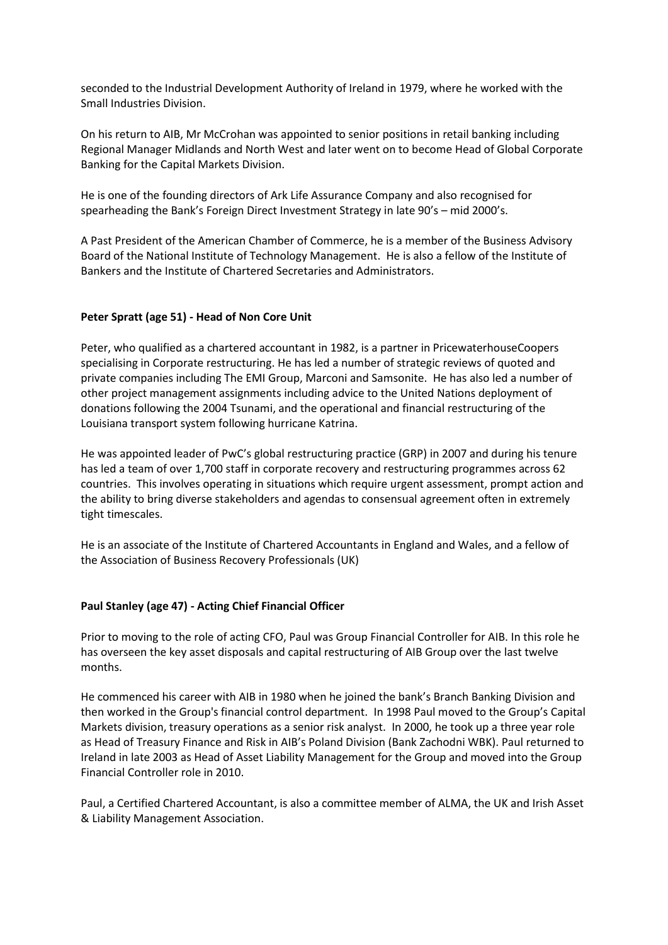seconded to the Industrial Development Authority of Ireland in 1979, where he worked with the Small Industries Division.

On his return to AIB, Mr McCrohan was appointed to senior positions in retail banking including Regional Manager Midlands and North West and later went on to become Head of Global Corporate Banking for the Capital Markets Division.

He is one of the founding directors of Ark Life Assurance Company and also recognised for spearheading the Bank's Foreign Direct Investment Strategy in late 90's – mid 2000's.

A Past President of the American Chamber of Commerce, he is a member of the Business Advisory Board of the National Institute of Technology Management. He is also a fellow of the Institute of Bankers and the Institute of Chartered Secretaries and Administrators.

## **Peter Spratt (age 51) - Head of Non Core Unit**

Peter, who qualified as a chartered accountant in 1982, is a partner in PricewaterhouseCoopers specialising in Corporate restructuring. He has led a number of strategic reviews of quoted and private companies including The EMI Group, Marconi and Samsonite. He has also led a number of other project management assignments including advice to the United Nations deployment of donations following the 2004 Tsunami, and the operational and financial restructuring of the Louisiana transport system following hurricane Katrina.

He was appointed leader of PwC's global restructuring practice (GRP) in 2007 and during his tenure has led a team of over 1,700 staff in corporate recovery and restructuring programmes across 62 countries. This involves operating in situations which require urgent assessment, prompt action and the ability to bring diverse stakeholders and agendas to consensual agreement often in extremely tight timescales.

He is an associate of the Institute of Chartered Accountants in England and Wales, and a fellow of the Association of Business Recovery Professionals (UK)

## **Paul Stanley (age 47) - Acting Chief Financial Officer**

Prior to moving to the role of acting CFO, Paul was Group Financial Controller for AIB. In this role he has overseen the key asset disposals and capital restructuring of AIB Group over the last twelve months.

He commenced his career with AIB in 1980 when he joined the bank's Branch Banking Division and then worked in the Group's financial control department. In 1998 Paul moved to the Group's Capital Markets division, treasury operations as a senior risk analyst. In 2000, he took up a three year role as Head of Treasury Finance and Risk in AIB's Poland Division (Bank Zachodni WBK). Paul returned to Ireland in late 2003 as Head of Asset Liability Management for the Group and moved into the Group Financial Controller role in 2010.

Paul, a Certified Chartered Accountant, is also a committee member of ALMA, the UK and Irish Asset & Liability Management Association.